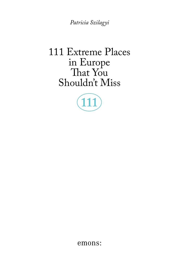Patricia Szilagyi

## 111 Extreme Places in Europe<br>That You Shouldn't Miss



emons: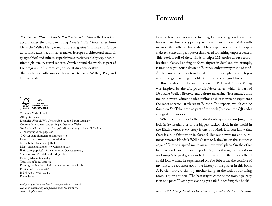*111 Extreme Places in Europe That You Shouldn't Miss* is the book that accompanies the award-winning *Europe to the Maxx* series from Deutsche Welle's lifestyle and culture magazine "Euromaxx". Europe at its most extreme: this series makes Europe's architectural, natural, geographical and cultural superlatives experienceable by way of stunning high-quality travel reports. Watch around the world as part of the programme "Euromaxx", online at dw.com/lifestyle. The book is a collaboration between Deutsche Welle (DW) and Emons Verlag.



© Emons Verlag GmbH All rights reserved Deutsche Welle (DW), Voltastraße 6, 13355 Berlin/Germany Concept development and editing at Deutsche Welle: Samira Schellhaaß, Patricia Szilagyi, Mirja Viehweger, Hendrik Welling © Photographs, see page 238 © Cover icon: shutterstock.com / tassel78 Layout: Eva Kraskes, based on a design by Lübbeke | Naumann | Thoben Maps: altancicek.design, www.altancicek.de Basic cartographical information from Openstreetmap, © OpenStreetMap-Mitwirkende, OdbL Editing: Martin Sketchley Translation: Tom Ashforth Printing and binding: Grafisches Centrum Cuno, Calbe Printed in Germany 2021 ISBN 978-3-7408-1031-3 First edition

*Did you enjoy this guidebook? Would you like to see more? Join us in uncovering new places around the world on: www.111places.com*

## Foreword

Being able to travel is a wonderful thing. I always bring new knowledge back with me from every journey. Yet there are some trips that stay with me more than others. This is when I have experienced something special, seen something unique or discovered something unprecedented. This book is full of these kinds of trips: 111 stories about recordbreaking places. Landing at Barra airport in Scotland, for example, is unique as you touch down on Europe's only runway made of sand. At the same time it is a travel guide for European places, which you won't find gathered together like this in any other guidebook.

This collaboration between Deutsche Welle and Emons Verlag was inspired by the *Europe to the Maxx* series, which is part of Deutsche Welle's lifestyle and culture magazine "Euromaxx". This multiple award-winning series of films enables viewers to experience the most spectacular places in Europe. The reports, which can be found on YouTube, are also part of the book. Just scan the QR codes alongside the stories.

Whether it is a trip to the highest railway station on Jungfraujoch in Switzerland or to the biggest cuckoo clock in the world in the Black Forest, every story is one of a kind. Did you know that there is a Buddhist region in Europe? This was new to me and Euromaxx reporter Hendrik Welling's trip to Kalmykia on the southeast edge of Europe inspired me to make new travel plans. On the other hand, when I saw the same reporter fighting through a snowstorm on Europe's biggest glacier in Iceland I was more than happy that I could follow what he experienced on YouTube from the comfort of my sofa and read more about the history of the glacier in this book. A Persian proverb that my mother hung on the wall of our living room is quite apt here: 'The best way to come home from a journey is in one piece.' I wish you exciting yet safe fun reading this book!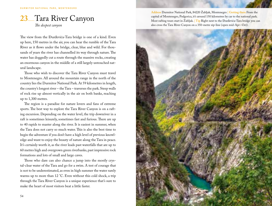## Tara River Canyon **23**\_\_

*The deepest canyon*

The view from the Đurđevića-Tara bridge is one of a kind. Even up here, 150 metres in the air, you can hear the rumble of the Tara River as it flows under the bridge, clear, blue and wild. For thousands of years the river has channelled its way through nature. The water has doggedly cut a route through the massive rocks, creating an enormous canyon in the middle of a still largely untouched natural landscape.

Those who wish to discover the Tara River Canyon must travel to Montenegro. All around the mountain range in the north of the country lies the Durmitor National Park. At 59 kilometres in length, the country's longest river – the Tara – traverses the park. Steep walls of rock rise up almost vertically in the air on both banks, reaching up to 1,300 metres.

The region is a paradise for nature lovers and fans of extreme sports. The best way to explore the Tara River Canyon is on a rafting excursion. Depending on the water level, the trip downriver in a raft is sometimes leisurely, sometimes fast and furious. There are up to 40 rapids to master along the river. It is easiest in summer, when the Tara does not carry so much water. This is also the best time to begin the adventure if you don't have a high level of previous knowledge and want to enjoy the beauty of nature along the Tara in peace. It's certainly worth it, as the river leads past waterfalls that are up to 60 metres high and overgrown green riverbanks, past impressive rock formations and lots of small and large caves.

Those who dare can also chance a jump into the mostly crystal-clear water of the Tara and go for a swim. A test of courage that is not to be underestimated, as even in high summer the water rarely warms up to more than 12 °C. Even without this cold shock, a trip through the Tara River Canyon is a unique experience that's sure to make the heart of most visitors beat a little faster.

**Address** Durmitor National Park, 84220 Žabljak, Montenegro **| Getting there** From the capital of Montenegro, Podgorica, it's around 150 kilometres by car to the national park. Most rafting tours start in Žabljak. **| Tip** Right next to the Đurđevića-Tara bridge you can also cross the Tara River Canyon on a 350-metre zip-line (open mid-Apr – Oct).